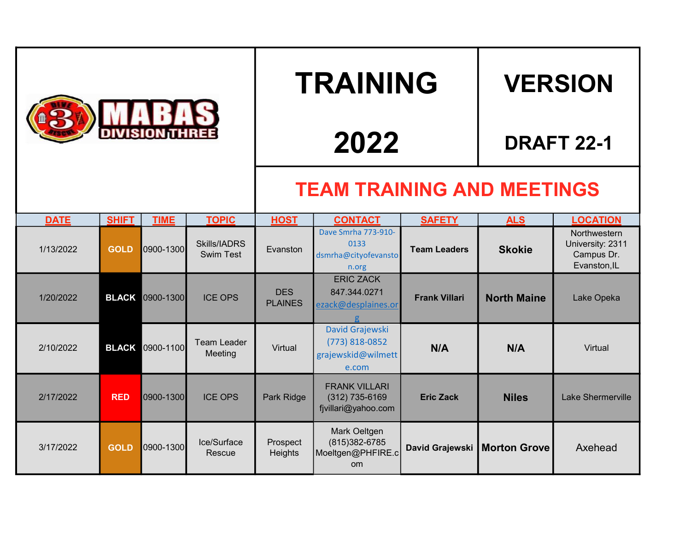|             |              |             |                                         | <b>TRAINING</b>                   |                                                                      |                      | <b>VERSION</b>                 |                                                                |  |
|-------------|--------------|-------------|-----------------------------------------|-----------------------------------|----------------------------------------------------------------------|----------------------|--------------------------------|----------------------------------------------------------------|--|
|             |              |             |                                         | 2022                              |                                                                      |                      | <b>DRAFT 22-1</b>              |                                                                |  |
|             |              |             |                                         | <b>TEAM TRAINING AND MEETINGS</b> |                                                                      |                      |                                |                                                                |  |
| <b>DATE</b> | <b>SHIFT</b> | <b>TIME</b> | <b>TOPIC</b>                            | <b>HOST</b>                       | <b>CONTACT</b>                                                       | <b>SAFETY</b>        | <b>ALS</b>                     | <b>LOCATION</b>                                                |  |
| 1/13/2022   | <b>GOLD</b>  | 0900-1300   | <b>Skills/IADRS</b><br><b>Swim Test</b> | Evanston                          | Dave Smrha 773-910-<br>0133<br>dsmrha@cityofevansto<br>n.org         | <b>Team Leaders</b>  | <b>Skokie</b>                  | Northwestern<br>University: 2311<br>Campus Dr.<br>Evanston, IL |  |
| 1/20/2022   | <b>BLACK</b> | 0900-1300   | <b>ICE OPS</b>                          | <b>DES</b><br><b>PLAINES</b>      | <b>ERIC ZACK</b><br>847.344.0271<br>ezack@desplaines.or              | <b>Frank Villari</b> | <b>North Maine</b>             | Lake Opeka                                                     |  |
| 2/10/2022   | <b>BLACK</b> | 0900-1100   | <b>Team Leader</b><br>Meeting           | Virtual                           | David Grajewski<br>(773) 818-0852<br>grajewskid@wilmett<br>e.com     | N/A                  | N/A                            | Virtual                                                        |  |
| 2/17/2022   | <b>RED</b>   | 0900-1300   | <b>ICE OPS</b>                          | Park Ridge                        | <b>FRANK VILLARI</b><br>$(312)$ 735-6169<br>fjvillari@yahoo.com      | <b>Eric Zack</b>     | <b>Niles</b>                   | <b>Lake Shermerville</b>                                       |  |
| 3/17/2022   | <b>GOLD</b>  | 0900-1300   | Ice/Surface<br>Rescue                   | Prospect<br>Heights               | Mark Oeltgen<br>(815) 382-6785<br>Moeltgen@PHFIRE.c<br>$\mathsf{om}$ |                      | David Grajewski   Morton Grove | Axehead                                                        |  |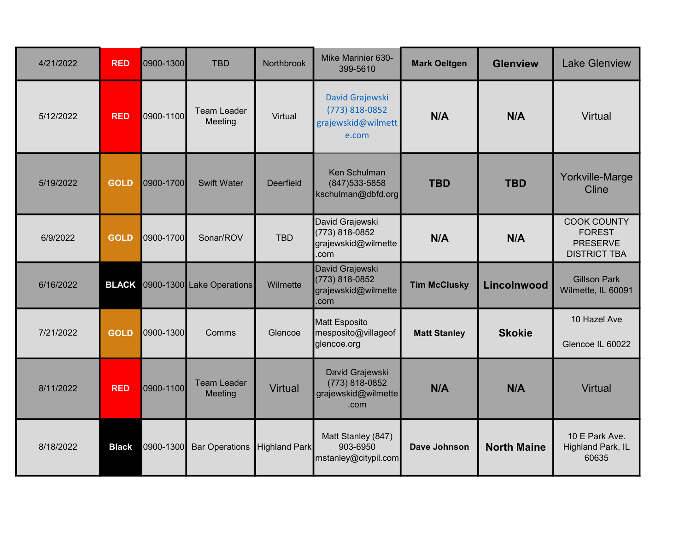| 4/21/2022 | <b>RED</b>   | 0900-1300 | <b>TBD</b>                    | Northbrook       | Mike Marinier 630-<br>399-5610                                   | <b>Mark Oeltgen</b> | <b>Glenview</b>    | <b>Lake Glenview</b>                                                          |
|-----------|--------------|-----------|-------------------------------|------------------|------------------------------------------------------------------|---------------------|--------------------|-------------------------------------------------------------------------------|
| 5/12/2022 | <b>RED</b>   | 0900-1100 | <b>Team Leader</b><br>Meeting | Virtual          | David Grajewski<br>(773) 818-0852<br>grajewskid@wilmett<br>e.com | N/A                 | N/A                | <b>Virtual</b>                                                                |
| 5/19/2022 | <b>GOLD</b>  | 0900-1700 | <b>Swift Water</b>            | <b>Deerfield</b> | Ken Schulman<br>$(847)533 - 5858$<br>kschulman@dbfd.org          | <b>TBD</b>          | <b>TBD</b>         | Yorkville-Marge<br>Cline                                                      |
| 6/9/2022  | <b>GOLD</b>  | 0900-1700 | Sonar/ROV                     | <b>TBD</b>       | David Grajewski<br>(773) 818-0852<br>grajewskid@wilmette<br>.com | N/A                 | N/A                | <b>COOK COUNTY</b><br><b>FOREST</b><br><b>PRESERVE</b><br><b>DISTRICT TBA</b> |
| 6/16/2022 | <b>BLACK</b> |           | 0900-1300 Lake Operations     | Wilmette         | David Grajewski<br>(773) 818-0852<br>grajewskid@wilmette<br>.com | <b>Tim McClusky</b> | Lincolnwood        | <b>Gillson Park</b><br>Wilmette, IL 60091                                     |
| 7/21/2022 | <b>GOLD</b>  | 0900-1300 | Comms                         | Glencoe          | Matt Esposito<br>mesposito@villageof<br>glencoe.org              | <b>Matt Stanley</b> | <b>Skokie</b>      | 10 Hazel Ave<br>Glencoe IL 60022                                              |
| 8/11/2022 | <b>RED</b>   | 0900-1100 | <b>Team Leader</b><br>Meeting | <b>Virtual</b>   | David Grajewski<br>(773) 818-0852<br>grajewskid@wilmette<br>.com | N/A                 | N/A                | <b>Virtual</b>                                                                |
| 8/18/2022 | <b>Black</b> | 0900-1300 | <b>Bar Operations</b>         | Highland Park    | Matt Stanley (847)<br>903-6950<br>mstanley@citypil.com           | Dave Johnson        | <b>North Maine</b> | 10 E Park Ave.<br>Highland Park, IL<br>60635                                  |